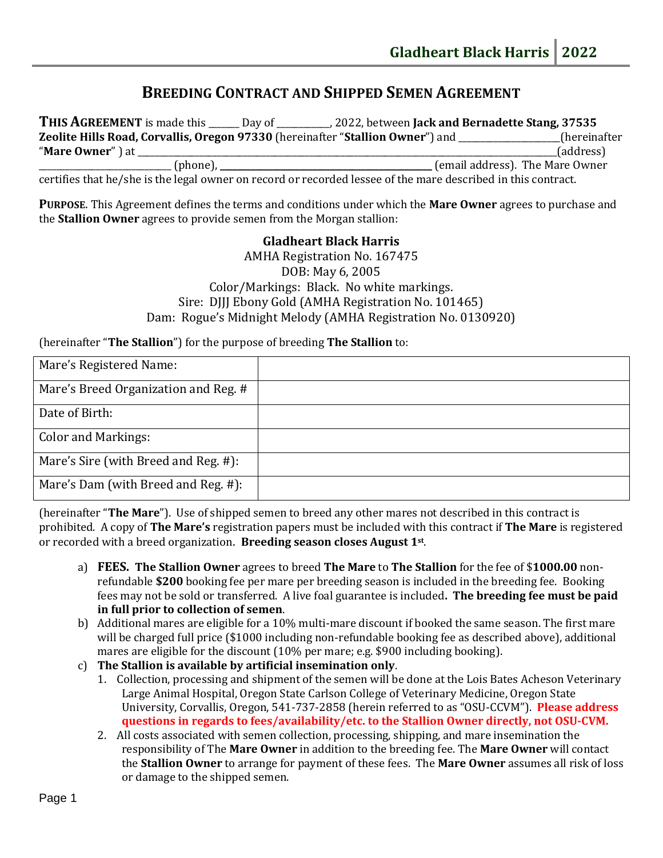# **BREEDING CONTRACT AND SHIPPED SEMEN AGREEMENT**

**THIS AGREEMENT** is made this \_\_\_\_\_\_\_ Day of \_\_\_\_\_\_\_\_\_\_\_\_, 2022, between **Jack and Bernadette Stang, 37535 Zeolite Hills Road, Corvallis, Oregon 97330** (hereinafter "**Stallion Owner**") and \_\_\_\_\_\_\_\_\_\_\_\_\_\_\_\_\_\_\_\_\_\_\_(hereinafter "**Mare Owner**" ) at \_\_\_\_\_\_\_\_\_\_\_\_\_\_\_\_\_\_\_\_\_\_\_\_\_\_\_\_\_\_\_\_\_\_\_\_\_\_\_\_\_\_\_\_\_\_\_\_\_\_\_\_\_\_\_\_\_\_\_\_\_\_\_\_\_\_\_\_\_\_\_\_\_\_\_\_\_\_\_\_\_\_\_\_\_\_\_\_\_\_\_\_\_\_\_(address) \_\_\_\_\_\_\_\_\_\_\_\_\_\_\_\_\_\_\_\_\_\_\_\_\_\_\_\_\_\_ (phone), \_\_\_\_\_\_\_\_\_\_\_\_\_\_\_\_\_\_\_\_\_\_\_\_\_\_\_\_\_\_\_\_\_\_\_\_\_\_\_\_\_\_\_\_\_\_\_\_ (email address). The Mare Owner

certifies that he/she is the legal owner on record or recorded lessee of the mare described in this contract.

**PURPOSE**. This Agreement defines the terms and conditions under which the **Mare Owner** agrees to purchase and the **Stallion Owner** agrees to provide semen from the Morgan stallion:

> **Gladheart Black Harris** AMHA Registration No. 167475 DOB: May 6, 2005 Color/Markings: Black. No white markings. Sire: DJJJ Ebony Gold (AMHA Registration No. 101465) Dam: Rogue's Midnight Melody (AMHA Registration No. 0130920)

(hereinafter "**The Stallion**") for the purpose of breeding **The Stallion** to:

| Mare's Registered Name:              |  |
|--------------------------------------|--|
| Mare's Breed Organization and Reg. # |  |
| Date of Birth:                       |  |
| <b>Color and Markings:</b>           |  |
| Mare's Sire (with Breed and Reg. #): |  |
| Mare's Dam (with Breed and Reg. #):  |  |

(hereinafter "**The Mare**"). Use of shipped semen to breed any other mares not described in this contract is prohibited. A copy of **The Mare's** registration papers must be included with this contract if **The Mare** is registered or recorded with a breed organization. **Breeding season closes August 1st** .

- a) **FEES. The Stallion Owner** agrees to breed **The Mare** to **The Stallion** for the fee of \$**1000.00** nonrefundable **\$200** booking fee per mare per breeding season is included in the breeding fee. Booking fees may not be sold or transferred. A live foal guarantee is included**. The breeding fee must be paid in full prior to collection of semen**.
- b) Additional mares are eligible for a 10% multi-mare discount if booked the same season. The first mare will be charged full price (\$1000 including non-refundable booking fee as described above), additional mares are eligible for the discount (10% per mare; e.g. \$900 including booking).
- c) **The Stallion is available by artificial insemination only**.
	- 1. Collection, processing and shipment of the semen will be done at the Lois Bates Acheson Veterinary Large Animal Hospital, Oregon State Carlson College of Veterinary Medicine, Oregon State University, Corvallis, Oregon, 541-737-2858 (herein referred to as "OSU-CCVM"). **Please address questions in regards to fees/availability/etc. to the Stallion Owner directly, not OSU-CVM.**
	- 2. All costs associated with semen collection, processing, shipping, and mare insemination the responsibility of The **Mare Owner** in addition to the breeding fee. The **Mare Owner** will contact the **Stallion Owner** to arrange for payment of these fees. The **Mare Owner** assumes all risk of loss or damage to the shipped semen.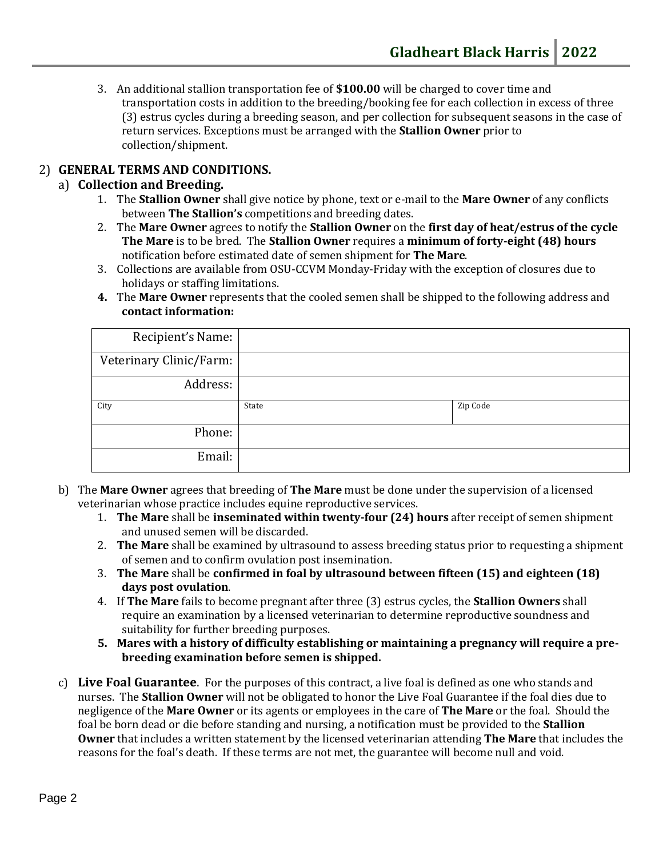3. An additional stallion transportation fee of **\$100.00** will be charged to cover time and transportation costs in addition to the breeding/booking fee for each collection in excess of three (3) estrus cycles during a breeding season, and per collection for subsequent seasons in the case of return services. Exceptions must be arranged with the **Stallion Owner** prior to collection/shipment.

# 2) **GENERAL TERMS AND CONDITIONS.**

#### a) **Collection and Breeding.**

- 1. The **Stallion Owner** shall give notice by phone, text or e-mail to the **Mare Owner** of any conflicts between **The Stallion's** competitions and breeding dates.
- 2. The **Mare Owner** agrees to notify the **Stallion Owner** on the **first day of heat/estrus of the cycle The Mare** is to be bred. The **Stallion Owner** requires a **minimum of forty-eight (48) hours** notification before estimated date of semen shipment for **The Mare**.
- 3. Collections are available from OSU-CCVM Monday-Friday with the exception of closures due to holidays or staffing limitations.
- **4.** The **Mare Owner** represents that the cooled semen shall be shipped to the following address and **contact information:**

| Recipient's Name:       |       |          |
|-------------------------|-------|----------|
| Veterinary Clinic/Farm: |       |          |
| Address:                |       |          |
|                         |       |          |
| City                    | State | Zip Code |
| Phone:                  |       |          |

- b) The **Mare Owner** agrees that breeding of **The Mare** must be done under the supervision of a licensed veterinarian whose practice includes equine reproductive services.
	- 1. **The Mare** shall be **inseminated within twenty-four (24) hours** after receipt of semen shipment and unused semen will be discarded.
	- 2. **The Mare** shall be examined by ultrasound to assess breeding status prior to requesting a shipment of semen and to confirm ovulation post insemination.
	- 3. **The Mare** shall be **confirmed in foal by ultrasound between fifteen (15) and eighteen (18) days post ovulation**.
	- 4. If **The Mare** fails to become pregnant after three (3) estrus cycles, the **Stallion Owners** shall require an examination by a licensed veterinarian to determine reproductive soundness and suitability for further breeding purposes.
	- **5. Mares with a history of difficulty establishing or maintaining a pregnancy will require a prebreeding examination before semen is shipped.**
- c) **Live Foal Guarantee**. For the purposes of this contract, a live foal is defined as one who stands and nurses. The **Stallion Owner** will not be obligated to honor the Live Foal Guarantee if the foal dies due to negligence of the **Mare Owner** or its agents or employees in the care of **The Mare** or the foal. Should the foal be born dead or die before standing and nursing, a notification must be provided to the **Stallion Owner** that includes a written statement by the licensed veterinarian attending **The Mare** that includes the reasons for the foal's death. If these terms are not met, the guarantee will become null and void.